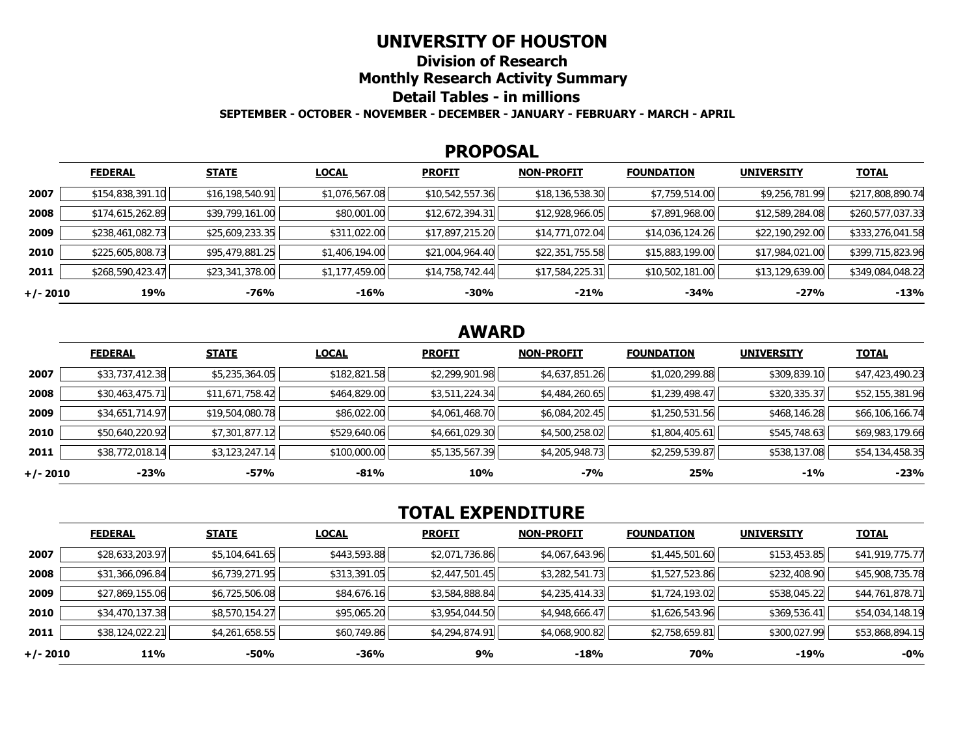## **UNIVERSITY OF HOUSTON**

**Division of Research**

**Monthly Research Activity Summary**

### **Detail Tables - in millions**

**SEPTEMBER - OCTOBER - NOVEMBER - DECEMBER - JANUARY - FEBRUARY - MARCH - APRIL**

#### **PROPOSAL**

|            | <b>FEDERAL</b>   | <b>STATE</b>    | <b>LOCAL</b>   | <b>PROFIT</b>   | <b>NON-PROFIT</b> | <b>FOUNDATION</b> | <b>UNIVERSITY</b> | <u>TOTAL</u>     |
|------------|------------------|-----------------|----------------|-----------------|-------------------|-------------------|-------------------|------------------|
| 2007       | \$154,838,391.10 | \$16,198,540.91 | \$1,076,567.08 | \$10,542,557.36 | \$18,136,538.30   | \$7,759,514.00    | \$9,256,781.99    | \$217,808,890.74 |
| 2008       | \$174,615,262.89 | \$39,799,161.00 | \$80,001.00    | \$12,672,394.31 | \$12,928,966.05   | \$7,891,968.00    | \$12,589,284.08   | \$260,577,037.33 |
| 2009       | \$238,461,082.73 | \$25,609,233.35 | \$311,022.00   | \$17,897,215.20 | \$14,771,072.04   | \$14,036,124.26   | \$22,190,292.00   | \$333,276,041.58 |
| 2010       | \$225,605,808.73 | \$95,479,881.25 | \$1,406,194.00 | \$21,004,964.40 | \$22,351,755.58   | \$15,883,199.00   | \$17,984,021.00   | \$399,715,823.96 |
| 2011       | \$268,590,423.47 | \$23,341,378.00 | \$1,177,459.00 | \$14,758,742.44 | \$17,584,225.31   | \$10,502,181.00   | \$13,129,639.00   | \$349,084,048.22 |
| $+/- 2010$ | 19%              | -76%            | -16%           | -30%            | $-21%$            | -34%              | -27%              | $-13%$           |

## **AWARD**

|          | <b>FEDERAL</b>  | <b>STATE</b>    | <b>LOCAL</b> | <b>PROFIT</b>  | NON-PROFIT     | <b>FOUNDATION</b> | <b>UNIVERSITY</b> | <b>TOTAL</b>    |
|----------|-----------------|-----------------|--------------|----------------|----------------|-------------------|-------------------|-----------------|
| 2007     | \$33,737,412.38 | \$5,235,364.05  | \$182,821.58 | \$2,299,901.98 | \$4,637,851.26 | \$1,020,299.88    | \$309,839.10      | \$47,423,490.23 |
| 2008     | \$30,463,475.71 | \$11,671,758.42 | \$464,829.00 | \$3,511,224.34 | \$4,484,260.65 | \$1,239,498.47    | \$320,335.37      | \$52,155,381.96 |
| 2009     | \$34,651,714.97 | \$19,504,080.78 | \$86,022.00  | \$4,061,468.70 | \$6,084,202.45 | \$1,250,531.56    | \$468,146.28      | \$66,106,166.74 |
| 2010     | \$50,640,220.92 | \$7,301,877.12  | \$529,640.06 | \$4,661,029.30 | \$4,500,258.02 | \$1,804,405.61    | \$545,748.63      | \$69,983,179.66 |
| 2011     | \$38,772,018.14 | \$3,123,247.14  | \$100,000.00 | \$5,135,567.39 | \$4,205,948.73 | \$2,259,539.87    | \$538,137.08      | \$54,134,458.35 |
| +/- 2010 | $-23%$          | $-57%$          | -81%         | 10%            | -7%            | 25%               | $-1\%$            | $-23%$          |

# **TOTAL EXPENDITURE**

|          | <b>FEDERAL</b>  | <b>STATE</b>   | <b>LOCAL</b> | <b>PROFIT</b>  | <b>NON-PROFIT</b> | <b>FOUNDATION</b> | <b>UNIVERSITY</b> | <b>TOTAL</b>    |
|----------|-----------------|----------------|--------------|----------------|-------------------|-------------------|-------------------|-----------------|
| 2007     | \$28,633,203.97 | \$5,104,641.65 | \$443,593.88 | \$2,071,736.86 | \$4,067,643.96    | \$1,445,501.60    | \$153,453.85      | \$41,919,775.77 |
| 2008     | \$31,366,096.84 | \$6,739,271.95 | \$313,391.05 | \$2,447,501.45 | \$3,282,541.73    | \$1,527,523.86    | \$232,408.90      | \$45,908,735.78 |
| 2009     | \$27,869,155.06 | \$6,725,506.08 | \$84,676.16  | \$3,584,888.84 | \$4,235,414.33    | \$1,724,193.02    | \$538,045.22      | \$44,761,878.71 |
| 2010     | \$34,470,137.38 | \$8,570,154.27 | \$95,065.20  | \$3,954,044.50 | \$4,948,666.47    | \$1,626,543.96    | \$369,536.41      | \$54,034,148.19 |
| 2011     | \$38,124,022.21 | \$4,261,658.55 | \$60,749.86  | \$4,294,874.91 | \$4,068,900.82    | \$2,758,659.81    | \$300,027.99      | \$53,868,894.15 |
| +/- 2010 | 11%             | $-50%$         | $-36%$       | 9%             | $-18%$            | 70%               | -19%              | $-0\%$          |